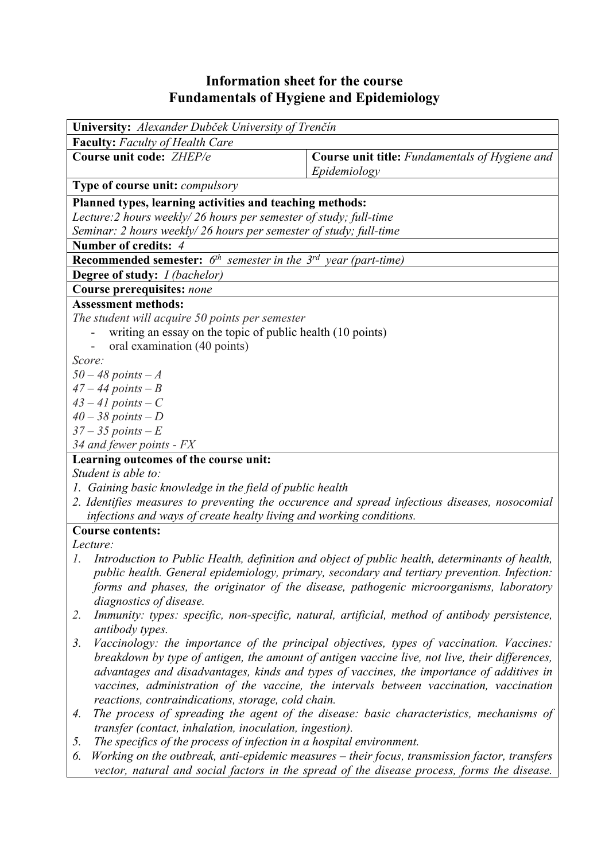## **Information sheet for the course Fundamentals of Hygiene and Epidemiology**

| <b>University:</b> Alexander Dubček University of Trenčín                       |                                                                                                |  |  |  |  |  |
|---------------------------------------------------------------------------------|------------------------------------------------------------------------------------------------|--|--|--|--|--|
| <b>Faculty:</b> Faculty of Health Care                                          |                                                                                                |  |  |  |  |  |
| Course unit code: ZHEP/e                                                        | <b>Course unit title:</b> Fundamentals of Hygiene and<br>Epidemiology                          |  |  |  |  |  |
| <b>Type of course unit: compulsory</b>                                          |                                                                                                |  |  |  |  |  |
| Planned types, learning activities and teaching methods:                        |                                                                                                |  |  |  |  |  |
| Lecture: 2 hours weekly/26 hours per semester of study; full-time               |                                                                                                |  |  |  |  |  |
| Seminar: 2 hours weekly/26 hours per semester of study; full-time               |                                                                                                |  |  |  |  |  |
| Number of credits: 4                                                            |                                                                                                |  |  |  |  |  |
| <b>Recommended semester:</b> $6^{th}$ semester in the $3^{rd}$ year (part-time) |                                                                                                |  |  |  |  |  |
| <b>Degree of study:</b> <i>I (bachelor)</i>                                     |                                                                                                |  |  |  |  |  |
| <b>Course prerequisites: none</b>                                               |                                                                                                |  |  |  |  |  |
| <b>Assessment methods:</b>                                                      |                                                                                                |  |  |  |  |  |
| The student will acquire 50 points per semester                                 |                                                                                                |  |  |  |  |  |
| writing an essay on the topic of public health (10 points)                      |                                                                                                |  |  |  |  |  |
| oral examination (40 points)                                                    |                                                                                                |  |  |  |  |  |
| Score:                                                                          |                                                                                                |  |  |  |  |  |
| $50 - 48$ points $-A$                                                           |                                                                                                |  |  |  |  |  |
| $47 - 44$ points $-B$                                                           |                                                                                                |  |  |  |  |  |
| $43 - 41$ points $-C$                                                           |                                                                                                |  |  |  |  |  |
| $40 - 38$ points $-D$                                                           |                                                                                                |  |  |  |  |  |
| $37 - 35$ points $-E$                                                           |                                                                                                |  |  |  |  |  |
| 34 and fewer points - FX                                                        |                                                                                                |  |  |  |  |  |
| Learning outcomes of the course unit:                                           |                                                                                                |  |  |  |  |  |
| Student is able to:                                                             |                                                                                                |  |  |  |  |  |
| 1. Gaining basic knowledge in the field of public health                        |                                                                                                |  |  |  |  |  |
|                                                                                 | 2. Identifies measures to preventing the occurence and spread infectious diseases, nosocomial  |  |  |  |  |  |
| infections and ways of create healty living and working conditions.             |                                                                                                |  |  |  |  |  |
| <b>Course contents:</b>                                                         |                                                                                                |  |  |  |  |  |
| Lecture:                                                                        |                                                                                                |  |  |  |  |  |
| 1.                                                                              | Introduction to Public Health, definition and object of public health, determinants of health, |  |  |  |  |  |
|                                                                                 | public health. General epidemiology, primary, secondary and tertiary prevention. Infection:    |  |  |  |  |  |
|                                                                                 | forms and phases, the originator of the disease, pathogenic microorganisms, laboratory         |  |  |  |  |  |
| diagnostics of disease.                                                         |                                                                                                |  |  |  |  |  |
| 2.                                                                              | Immunity: types: specific, non-specific, natural, artificial, method of antibody persistence,  |  |  |  |  |  |
| antibody types.                                                                 |                                                                                                |  |  |  |  |  |
| 3.                                                                              | Vaccinology: the importance of the principal objectives, types of vaccination. Vaccines:       |  |  |  |  |  |
|                                                                                 | breakdown by type of antigen, the amount of antigen vaccine live, not live, their differences, |  |  |  |  |  |
|                                                                                 | advantages and disadvantages, kinds and types of vaccines, the importance of additives in      |  |  |  |  |  |
|                                                                                 | vaccines, administration of the vaccine, the intervals between vaccination, vaccination        |  |  |  |  |  |
| reactions, contraindications, storage, cold chain.                              |                                                                                                |  |  |  |  |  |
| 4.                                                                              | The process of spreading the agent of the disease: basic characteristics, mechanisms of        |  |  |  |  |  |
| transfer (contact, inhalation, inoculation, ingestion).                         |                                                                                                |  |  |  |  |  |
| The specifics of the process of infection in a hospital environment.<br>5.      |                                                                                                |  |  |  |  |  |

*6. Working on the outbreak, anti-epidemic measures – their focus, transmission factor, transfers vector, natural and social factors in the spread of the disease process, forms the disease.*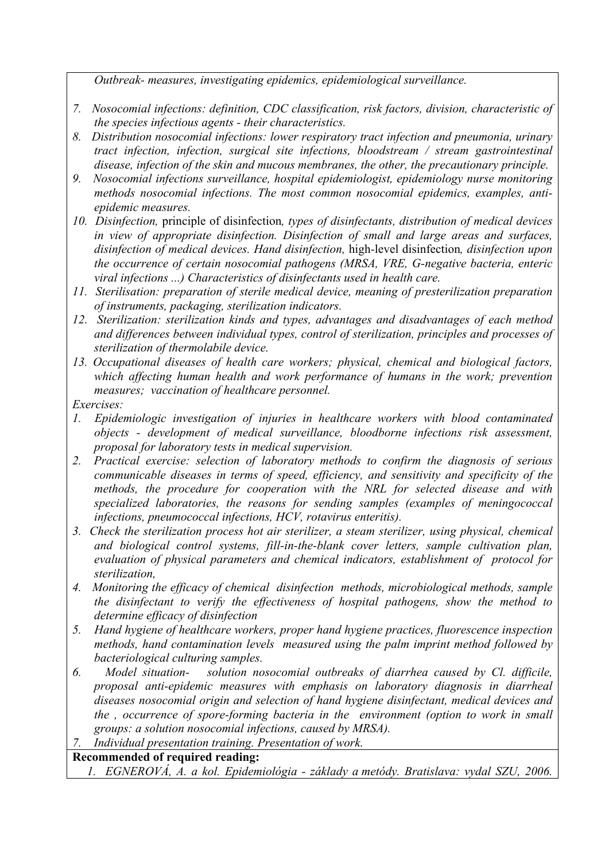*Outbreak- measures, investigating epidemics, epidemiological surveillance.* 

- *7. Nosocomial infections: definition, CDC classification, risk factors, division, characteristic of the species infectious agents - their characteristics.*
- *8. Distribution nosocomial infections: lower respiratory tract infection and pneumonia, urinary tract infection, infection, surgical site infections, bloodstream / stream gastrointestinal disease, infection of the skin and mucous membranes, the other, the precautionary principle.*
- *9. Nosocomial infections surveillance, hospital epidemiologist, epidemiology nurse monitoring methods nosocomial infections. The most common nosocomial epidemics, examples, antiepidemic measures.*
- *10. Disinfection,* principle of disinfection*, types of disinfectants, distribution of medical devices in view of appropriate disinfection. Disinfection of small and large areas and surfaces, disinfection of medical devices. Hand disinfection,* high*-*level disinfection*, disinfection upon the occurrence of certain nosocomial pathogens (MRSA, VRE, G-negative bacteria, enteric viral infections ...) Characteristics of disinfectants used in health care.*
- *11. Sterilisation: preparation of sterile medical device, meaning of presterilization preparation of instruments, packaging, sterilization indicators.*
- *12. Sterilization: sterilization kinds and types, advantages and disadvantages of each method and differences between individual types, control of sterilization, principles and processes of sterilization of thermolabile device.*
- *13. Occupational diseases of health care workers; physical, chemical and biological factors, which affecting human health and work performance of humans in the work; prevention measures; vaccination of healthcare personnel.*

*Exercises:* 

- *1. Epidemiologic investigation of injuries in healthcare workers with blood contaminated objects - development of medical surveillance, bloodborne infections risk assessment, proposal for laboratory tests in medical supervision.*
- *2. Practical exercise: selection of laboratory methods to confirm the diagnosis of serious communicable diseases in terms of speed, efficiency, and sensitivity and specificity of the methods, the procedure for cooperation with the NRL for selected disease and with specialized laboratories, the reasons for sending samples (examples of meningococcal infections, pneumococcal infections, HCV, rotavirus enteritis).*
- *3. Check the sterilization process hot air sterilizer, a steam sterilizer, using physical, chemical and biological control systems, fill-in-the-blank cover letters, sample cultivation plan, evaluation of physical parameters and chemical indicators, establishment of protocol for sterilization,*
- *4. Monitoring the efficacy of chemical disinfection methods, microbiological methods, sample the disinfectant to verify the effectiveness of hospital pathogens, show the method to determine efficacy of disinfection*
- *5. Hand hygiene of healthcare workers, proper hand hygiene practices, fluorescence inspection methods, hand contamination levels measured using the palm imprint method followed by bacteriological culturing samples.*
- *6. Model situation- solution nosocomial outbreaks of diarrhea caused by Cl. difficile, proposal anti-epidemic measures with emphasis on laboratory diagnosis in diarrheal diseases nosocomial origin and selection of hand hygiene disinfectant, medical devices and the , occurrence of spore-forming bacteria in the environment (option to work in small groups: a solution nosocomial infections, caused by MRSA).*
- *7. Individual presentation training. Presentation of work.*

## **Recommended of required reading:**

*1. EGNEROVÁ, A. a kol. Epidemiológia - základy a metódy. Bratislava: vydal SZU, 2006.*